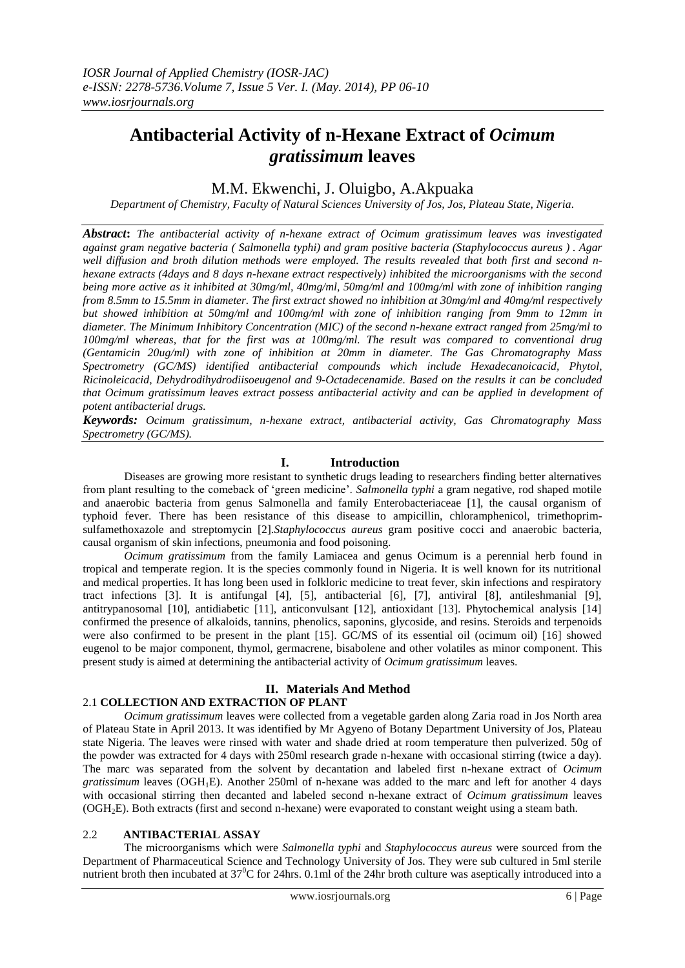## **Antibacterial Activity of n-Hexane Extract of** *Ocimum gratissimum* **leaves**

### M.M. Ekwenchi, J. Oluigbo, A.Akpuaka

*Department of Chemistry, Faculty of Natural Sciences University of Jos, Jos, Plateau State, Nigeria.*

*Abstract***:** *The antibacterial activity of n-hexane extract of Ocimum gratissimum leaves was investigated against gram negative bacteria ( Salmonella typhi) and gram positive bacteria (Staphylococcus aureus ) . Agar well diffusion and broth dilution methods were employed. The results revealed that both first and second nhexane extracts (4days and 8 days n-hexane extract respectively) inhibited the microorganisms with the second being more active as it inhibited at 30mg/ml, 40mg/ml, 50mg/ml and 100mg/ml with zone of inhibition ranging from 8.5mm to 15.5mm in diameter. The first extract showed no inhibition at 30mg/ml and 40mg/ml respectively but showed inhibition at 50mg/ml and 100mg/ml with zone of inhibition ranging from 9mm to 12mm in diameter. The Minimum Inhibitory Concentration (MIC) of the second n-hexane extract ranged from 25mg/ml to 100mg/ml whereas, that for the first was at 100mg/ml. The result was compared to conventional drug (Gentamicin 20ug/ml) with zone of inhibition at 20mm in diameter. The Gas Chromatography Mass Spectrometry (GC/MS) identified antibacterial compounds which include Hexadecanoicacid, Phytol, Ricinoleicacid, Dehydrodihydrodiisoeugenol and 9-Octadecenamide. Based on the results it can be concluded that Ocimum gratissimum leaves extract possess antibacterial activity and can be applied in development of potent antibacterial drugs.*

*Keywords: Ocimum gratissimum, n-hexane extract, antibacterial activity, Gas Chromatography Mass Spectrometry (GC/MS).*

#### **I. Introduction**

Diseases are growing more resistant to synthetic drugs leading to researchers finding better alternatives from plant resulting to the comeback of 'green medicine'. *Salmonella typhi* a gram negative, rod shaped motile and anaerobic bacteria from genus Salmonella and family Enterobacteriaceae [1], the causal organism of typhoid fever. There has been resistance of this disease to ampicillin, chloramphenicol, trimethoprimsulfamethoxazole and streptomycin [2].*Staphylococcus aureus* gram positive cocci and anaerobic bacteria, causal organism of skin infections, pneumonia and food poisoning.

*Ocimum gratissimum* from the family Lamiacea and genus Ocimum is a perennial herb found in tropical and temperate region. It is the species commonly found in Nigeria. It is well known for its nutritional and medical properties. It has long been used in folkloric medicine to treat fever, skin infections and respiratory tract infections [3]. It is antifungal [4], [5], antibacterial [6], [7], antiviral [8], antileshmanial [9], antitrypanosomal [10], antidiabetic [11], anticonvulsant [12], antioxidant [13]. Phytochemical analysis [14] confirmed the presence of alkaloids, tannins, phenolics, saponins, glycoside, and resins. Steroids and terpenoids were also confirmed to be present in the plant [15]. GC/MS of its essential oil (ocimum oil) [16] showed eugenol to be major component, thymol, germacrene, bisabolene and other volatiles as minor component. This present study is aimed at determining the antibacterial activity of *Ocimum gratissimum* leaves.

#### **II. Materials And Method** 2.1 **COLLECTION AND EXTRACTION OF PLANT**

*Ocimum gratissimum* leaves were collected from a vegetable garden along Zaria road in Jos North area of Plateau State in April 2013. It was identified by Mr Agyeno of Botany Department University of Jos, Plateau state Nigeria. The leaves were rinsed with water and shade dried at room temperature then pulverized. 50g of the powder was extracted for 4 days with 250ml research grade n-hexane with occasional stirring (twice a day). The marc was separated from the solvent by decantation and labeled first n-hexane extract of *Ocimum gratissimum* leaves (OGH<sub>1</sub>E). Another 250ml of n-hexane was added to the marc and left for another 4 days with occasional stirring then decanted and labeled second n-hexane extract of *Ocimum gratissimum* leaves (OGH2E). Both extracts (first and second n-hexane) were evaporated to constant weight using a steam bath.

#### 2.2 **ANTIBACTERIAL ASSAY**

The microorganisms which were *Salmonella typhi* and *Staphylococcus aureus* were sourced from the Department of Pharmaceutical Science and Technology University of Jos. They were sub cultured in 5ml sterile nutrient broth then incubated at  $37^{\circ}$ C for 24hrs. 0.1ml of the 24hr broth culture was aseptically introduced into a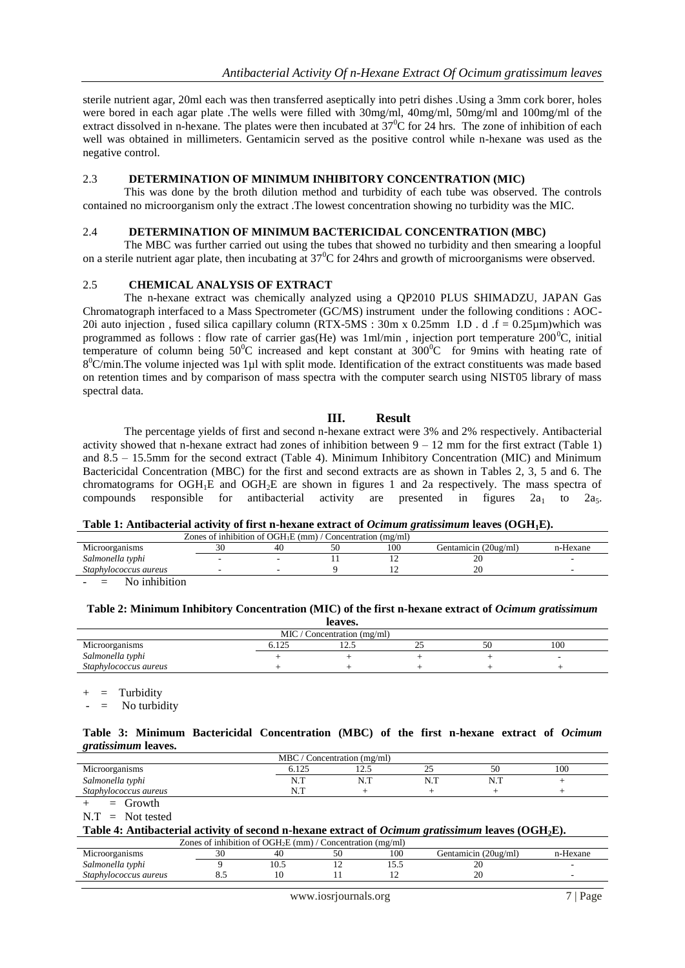sterile nutrient agar, 20ml each was then transferred aseptically into petri dishes .Using a 3mm cork borer, holes were bored in each agar plate .The wells were filled with 30mg/ml, 40mg/ml, 50mg/ml and 100mg/ml of the extract dissolved in n-hexane. The plates were then incubated at  $37^{\circ}$ C for 24 hrs. The zone of inhibition of each well was obtained in millimeters. Gentamicin served as the positive control while n-hexane was used as the negative control.

#### 2.3 **DETERMINATION OF MINIMUM INHIBITORY CONCENTRATION (MIC)**

This was done by the broth dilution method and turbidity of each tube was observed. The controls contained no microorganism only the extract .The lowest concentration showing no turbidity was the MIC.

#### 2.4 **DETERMINATION OF MINIMUM BACTERICIDAL CONCENTRATION (MBC)**

The MBC was further carried out using the tubes that showed no turbidity and then smearing a loopful on a sterile nutrient agar plate, then incubating at  $37^{\circ}$ C for 24hrs and growth of microorganisms were observed.

#### 2.5 **CHEMICAL ANALYSIS OF EXTRACT**

The n-hexane extract was chemically analyzed using a QP2010 PLUS SHIMADZU, JAPAN Gas Chromatograph interfaced to a Mass Spectrometer (GC/MS) instrument under the following conditions : AOC-20i auto injection, fused silica capillary column (RTX-5MS :  $30m \times 0.25mm$  I.D . d .f = 0.25µm)which was programmed as follows : flow rate of carrier gas(He) was  $1 \text{ml/min}$ , injection port temperature  $200^{\circ}$ C, initial temperature of column being  $50^{\circ}$ C increased and kept constant at  $300^{\circ}$ C for 9mins with heating rate of 8<sup>0</sup>C/min.The volume injected was 1µl with split mode. Identification of the extract constituents was made based on retention times and by comparison of mass spectra with the computer search using NIST05 library of mass spectral data.

#### **III. Result**

The percentage yields of first and second n-hexane extract were 3% and 2% respectively. Antibacterial activity showed that n-hexane extract had zones of inhibition between  $9 - 12$  mm for the first extract (Table 1) and 8.5 – 15.5mm for the second extract (Table 4). Minimum Inhibitory Concentration (MIC) and Minimum Bactericidal Concentration (MBC) for the first and second extracts are as shown in Tables 2, 3, 5 and 6. The chromatograms for  $OGH_1E$  and  $OGH_2E$  are shown in figures 1 and 2a respectively. The mass spectra of compounds responsible for antibacterial activity are presented in figures  $2a_1$  to  $2a_5$ .

#### **Table 1: Antibacterial activity of first n-hexane extract of** *Ocimum gratissimum* **leaves (OGH1E).**

| Zones of inhibition of $OGH1E$ (mm) $'$<br>Concentration (mg/ml) |  |    |  |     |                      |          |  |
|------------------------------------------------------------------|--|----|--|-----|----------------------|----------|--|
| Microorganisms                                                   |  | 40 |  | 100 | Gentamicin (20ug/ml) | n-Hexane |  |
| Salmonella typhi                                                 |  | -  |  |     | 20                   |          |  |
| Staphylococcus aureus                                            |  |    |  |     | 20                   |          |  |
| .<br><b>A</b> T                                                  |  |    |  |     |                      |          |  |

 $=$  No inhibition

#### **Table 2: Minimum Inhibitory Concentration (MIC) of the first n-hexane extract of** *Ocimum gratissimum*

| leaves.                       |       |      |   |  |     |  |  |
|-------------------------------|-------|------|---|--|-----|--|--|
| $MIC /$ Concentration (mg/ml) |       |      |   |  |     |  |  |
| Microorganisms                | 5.125 | 14.L | ت |  | 100 |  |  |
| Salmonella typhi              |       |      |   |  |     |  |  |
| Staphylococcus aureus         |       |      |   |  |     |  |  |

 $=$  Turbidity

No turbidity

#### **Table 3: Minimum Bactericidal Concentration (MBC) of the first n-hexane extract of** *Ocimum gratissimum* **leaves.**

| <b>MBC</b><br>oncentration (mg/ml) |                          |                         |                           |                 |     |  |  |
|------------------------------------|--------------------------|-------------------------|---------------------------|-----------------|-----|--|--|
| Microorganisms                     | $\sim$ $\sim$<br>U.I∠.   | $\sim$ $\sim$<br>ن که ۱ | $\sim$ $\sim$<br><u>_</u> | $\sim$ $\sim$   | 100 |  |  |
| Salmonella typhi                   | <b>ATT</b><br>N<br>14. T | N.T                     | <b>ATT</b><br>.           | <b>ATT</b><br>. |     |  |  |
| Staphylococcus aureus              | ד ז<br>13.1              |                         |                           |                 |     |  |  |

 $=$  Growth

 $N.T = Not tested$ 

#### **Table 4: Antibacterial activity of second n-hexane extract of** *Ocimum gratissimum* **leaves (OGH2E).**

| Zones of inhibition of $OGH2E$ (mm) / Concentration (mg/ml) |      |      |  |     |                      |          |  |
|-------------------------------------------------------------|------|------|--|-----|----------------------|----------|--|
| Microorganisms                                              |      | 40   |  | 100 | Gentamicin (20ug/ml) | n-Hexane |  |
| Salmonella typhi                                            |      | 10.5 |  | .   | ZU                   |          |  |
| Staphylococcus aureus                                       | 0. . |      |  |     | 20                   |          |  |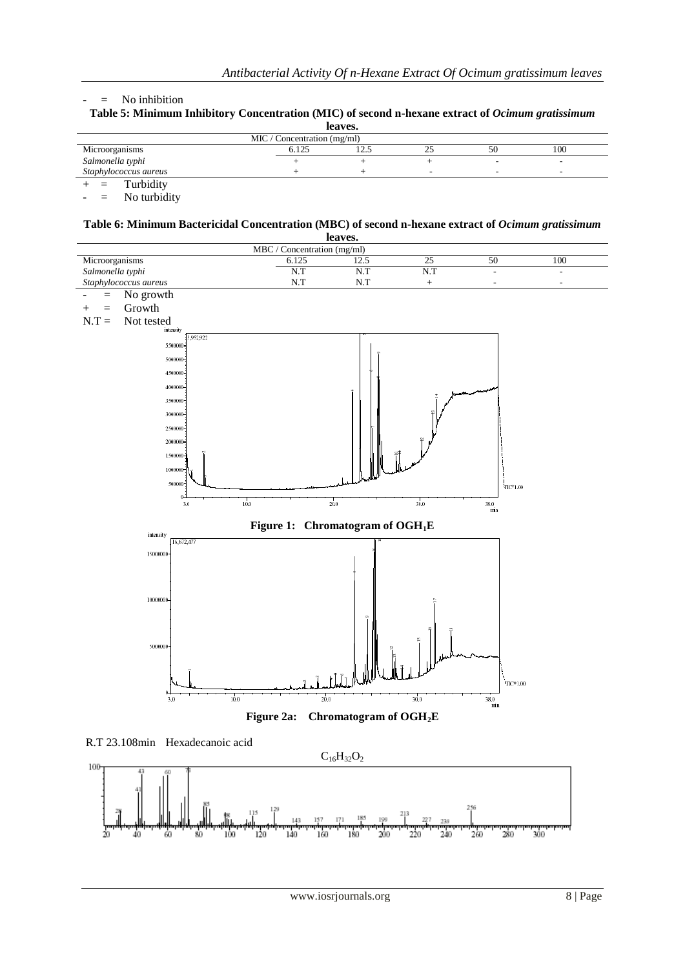#### - = No inhibition

| Table 5: Minimum Inhibitory Concentration (MIC) of second n-hexane extract of <i>Ocimum gratissimum</i> |
|---------------------------------------------------------------------------------------------------------|
| leaves.                                                                                                 |

| ieaves.<br>MIC/Concentration (mg/ml) |  |  |   |  |   |  |  |
|--------------------------------------|--|--|---|--|---|--|--|
|                                      |  |  |   |  |   |  |  |
| Salmonella typhi                     |  |  |   |  | ۰ |  |  |
| Staphylococcus aureus                |  |  | ۰ |  |   |  |  |
| Turbidity                            |  |  |   |  |   |  |  |

Turbidity - = No turbidity

# **Table 6: Minimum Bactericidal Concentration (MBC) of second n-hexane extract of** *Ocimum gratissimum*

| leaves.                     |       |                                              |                   |                           |                |  |  |  |
|-----------------------------|-------|----------------------------------------------|-------------------|---------------------------|----------------|--|--|--|
| MBC / Concentration (mg/ml) |       |                                              |                   |                           |                |  |  |  |
| Microorganisms              | 6.125 | 12.5                                         | 25                | 50                        | 100            |  |  |  |
| Salmonella typhi            | N.T   | N.T                                          | N.T               | L,                        | $\overline{a}$ |  |  |  |
| Staphylococcus aureus       | N.T   | N.T                                          | $\qquad \qquad +$ | L,                        | $\overline{a}$ |  |  |  |
| No growth<br>$=$            |       |                                              |                   |                           |                |  |  |  |
| Growth<br>$=$<br>$^{+}$     |       |                                              |                   |                           |                |  |  |  |
| Not tested<br>$N.T =$       |       |                                              |                   |                           |                |  |  |  |
| intensity<br>5,952,922      |       |                                              |                   |                           |                |  |  |  |
| 5508000                     |       |                                              |                   |                           |                |  |  |  |
| 5008000                     |       |                                              |                   |                           |                |  |  |  |
| 4508000                     |       |                                              |                   |                           |                |  |  |  |
| 4008000                     |       |                                              |                   |                           |                |  |  |  |
|                             |       |                                              |                   |                           |                |  |  |  |
| 3500000                     |       |                                              |                   |                           |                |  |  |  |
| 3008000                     |       |                                              |                   |                           |                |  |  |  |
| 2508000                     |       |                                              |                   |                           |                |  |  |  |
| 2008000-                    |       |                                              |                   |                           |                |  |  |  |
| 1508000                     |       |                                              |                   |                           |                |  |  |  |
| 1008000                     |       |                                              |                   |                           |                |  |  |  |
| 508000                      |       |                                              |                   | $\Pi{\rm C}^81.00$        |                |  |  |  |
| 0                           |       |                                              |                   |                           |                |  |  |  |
| 10.0<br>3.0                 |       | $\frac{1}{20.0}$                             | 30.0              | 38.0<br>$\sin$            |                |  |  |  |
|                             |       | Figure 1: Chromatogram of OGH <sub>1</sub> E |                   |                           |                |  |  |  |
| intensity                   |       |                                              |                   |                           |                |  |  |  |
| 16,672,477                  |       |                                              |                   |                           |                |  |  |  |
| 15000000                    |       |                                              |                   |                           |                |  |  |  |
|                             |       |                                              |                   |                           |                |  |  |  |
|                             |       |                                              |                   |                           |                |  |  |  |
| 10000000-                   |       |                                              |                   |                           |                |  |  |  |
|                             |       |                                              |                   |                           |                |  |  |  |
|                             |       |                                              |                   |                           |                |  |  |  |
|                             |       |                                              |                   |                           |                |  |  |  |
| 5000000                     |       |                                              |                   |                           |                |  |  |  |
|                             |       |                                              |                   |                           |                |  |  |  |
|                             |       |                                              |                   |                           |                |  |  |  |
|                             |       |                                              |                   | $_{\rm TIC*1.00}$         |                |  |  |  |
| $0 -$<br>10.0<br>3.0        | 20.0  |                                              | 30.0              | $\frac{38.0}{\text{min}}$ |                |  |  |  |
| Figure 2a:                  |       | Chromatogram of OGH <sub>2</sub> E           |                   |                           |                |  |  |  |
|                             |       |                                              |                   |                           |                |  |  |  |



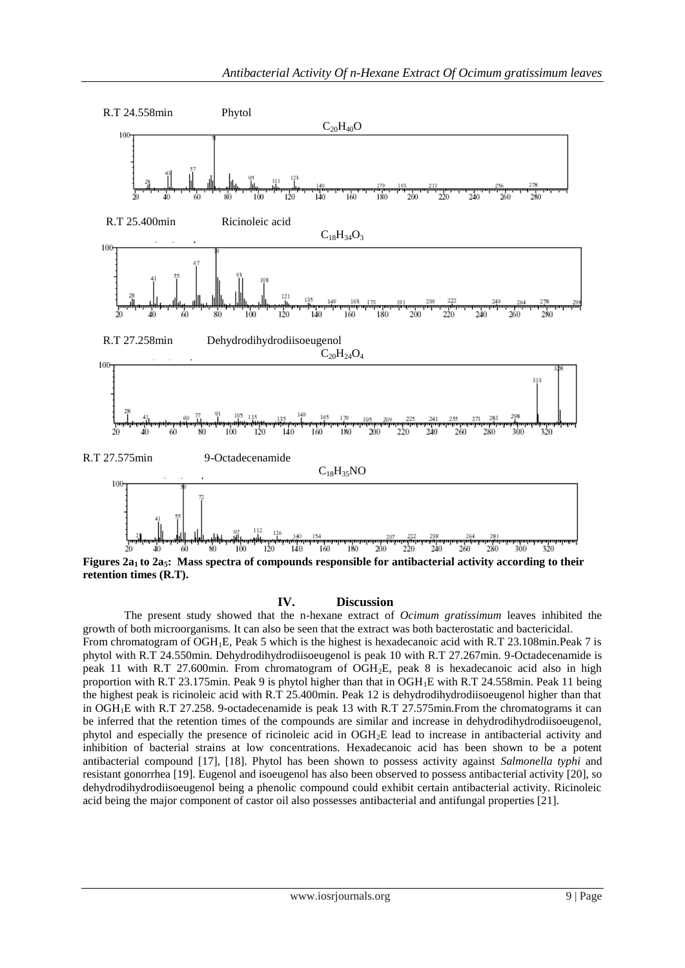

#### **IV. Discussion**

The present study showed that the n-hexane extract of *Ocimum gratissimum* leaves inhibited the growth of both microorganisms. It can also be seen that the extract was both bacterostatic and bactericidal. From chromatogram of OGH1E, Peak 5 which is the highest is hexadecanoic acid with R.T 23.108min.Peak 7 is phytol with R.T 24.550min. Dehydrodihydrodiisoeugenol is peak 10 with R.T 27.267min. 9-Octadecenamide is peak 11 with R.T 27.600min. From chromatogram of OGH2E, peak 8 is hexadecanoic acid also in high proportion with R.T 23.175min. Peak 9 is phytol higher than that in OGH1E with R.T 24.558min. Peak 11 being the highest peak is ricinoleic acid with R.T 25.400min. Peak 12 is dehydrodihydrodiisoeugenol higher than that in OGH1E with R.T 27.258. 9-octadecenamide is peak 13 with R.T 27.575min.From the chromatograms it can be inferred that the retention times of the compounds are similar and increase in dehydrodihydrodiisoeugenol, phytol and especially the presence of ricinoleic acid in OGH2E lead to increase in antibacterial activity and inhibition of bacterial strains at low concentrations. Hexadecanoic acid has been shown to be a potent antibacterial compound [17], [18]. Phytol has been shown to possess activity against *Salmonella typhi* and resistant gonorrhea [19]. Eugenol and isoeugenol has also been observed to possess antibacterial activity [20], so dehydrodihydrodiisoeugenol being a phenolic compound could exhibit certain antibacterial activity. Ricinoleic acid being the major component of castor oil also possesses antibacterial and antifungal properties [21].